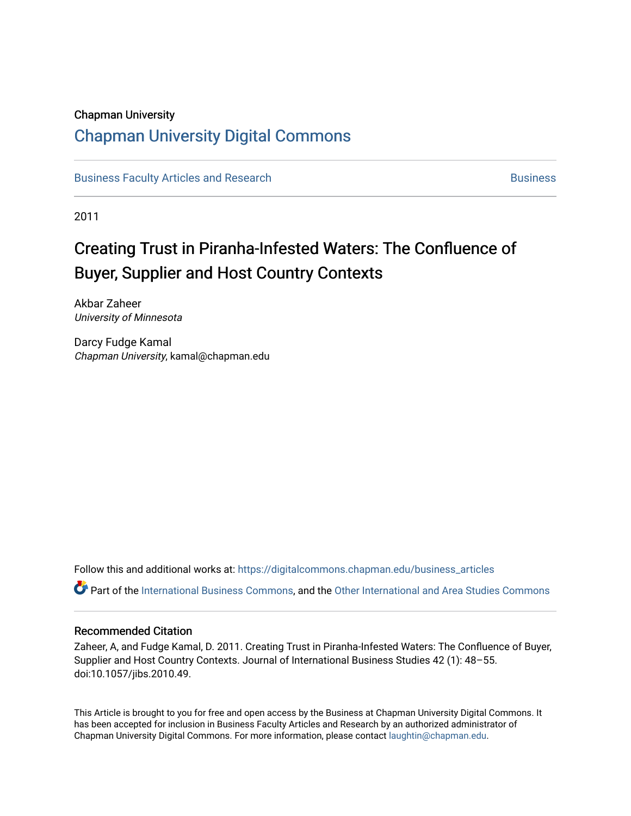## Chapman University

# [Chapman University Digital Commons](https://digitalcommons.chapman.edu/)

[Business Faculty Articles and Research](https://digitalcommons.chapman.edu/business_articles) [Business](https://digitalcommons.chapman.edu/business) **Business** Business

2011

# Creating Trust in Piranha-Infested Waters: The Confluence of Buyer, Supplier and Host Country Contexts

Akbar Zaheer University of Minnesota

Darcy Fudge Kamal Chapman University, kamal@chapman.edu

Follow this and additional works at: [https://digitalcommons.chapman.edu/business\\_articles](https://digitalcommons.chapman.edu/business_articles?utm_source=digitalcommons.chapman.edu%2Fbusiness_articles%2F35&utm_medium=PDF&utm_campaign=PDFCoverPages) 

**C** Part of the [International Business Commons,](http://network.bepress.com/hgg/discipline/634?utm_source=digitalcommons.chapman.edu%2Fbusiness_articles%2F35&utm_medium=PDF&utm_campaign=PDFCoverPages) and the Other International and Area Studies Commons

### Recommended Citation

Zaheer, A, and Fudge Kamal, D. 2011. Creating Trust in Piranha-Infested Waters: The Confluence of Buyer, Supplier and Host Country Contexts. Journal of International Business Studies 42 (1): 48–55. doi:10.1057/jibs.2010.49.

This Article is brought to you for free and open access by the Business at Chapman University Digital Commons. It has been accepted for inclusion in Business Faculty Articles and Research by an authorized administrator of Chapman University Digital Commons. For more information, please contact [laughtin@chapman.edu](mailto:laughtin@chapman.edu).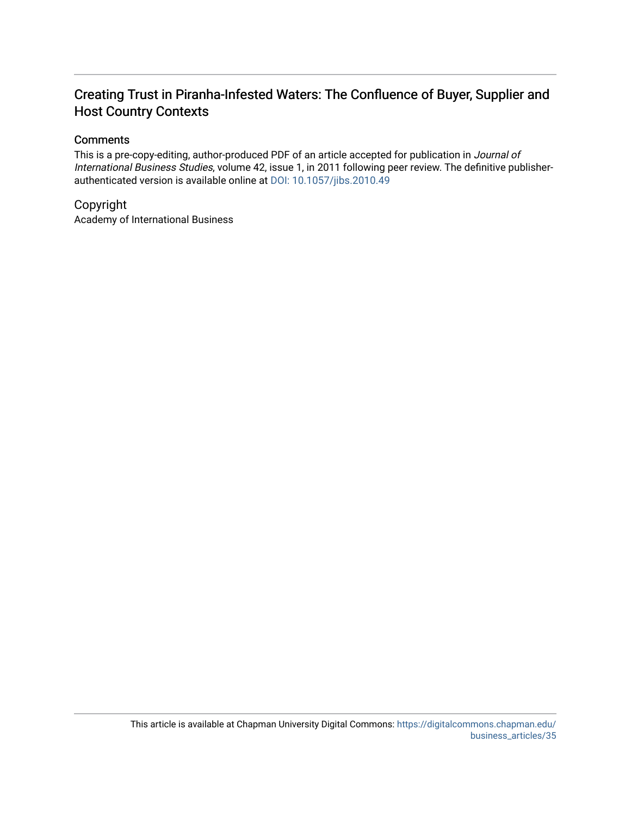# Creating Trust in Piranha-Infested Waters: The Confluence of Buyer, Supplier and Host Country Contexts

## **Comments**

This is a pre-copy-editing, author-produced PDF of an article accepted for publication in Journal of International Business Studies, volume 42, issue 1, in 2011 following peer review. The definitive publisherauthenticated version is available online at [DOI: 10.1057/jibs.2010.49](http://dx.doi.org/10.1057/jibs.2010.49) 

# Copyright

Academy of International Business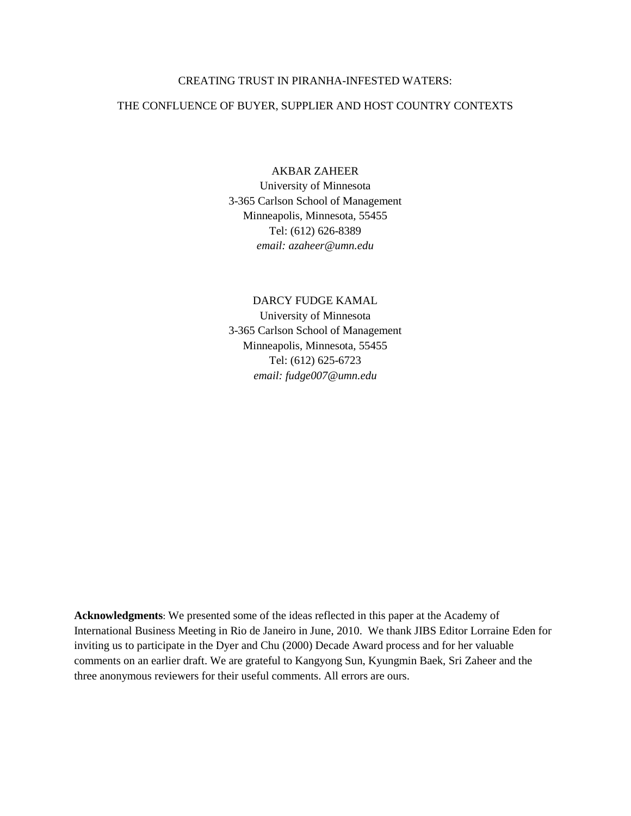### CREATING TRUST IN PIRANHA-INFESTED WATERS:

#### THE CONFLUENCE OF BUYER, SUPPLIER AND HOST COUNTRY CONTEXTS

### AKBAR ZAHEER

University of Minnesota 3-365 Carlson School of Management Minneapolis, Minnesota, 55455 Tel: (612) 626-8389 *email: azaheer@umn.edu*

DARCY FUDGE KAMAL University of Minnesota 3-365 Carlson School of Management Minneapolis, Minnesota, 55455 Tel: (612) 625-6723 *email: fudge007@umn.edu*

**Acknowledgments**: We presented some of the ideas reflected in this paper at the Academy of International Business Meeting in Rio de Janeiro in June, 2010. We thank JIBS Editor Lorraine Eden for inviting us to participate in the Dyer and Chu (2000) Decade Award process and for her valuable comments on an earlier draft. We are grateful to Kangyong Sun, Kyungmin Baek, Sri Zaheer and the three anonymous reviewers for their useful comments. All errors are ours.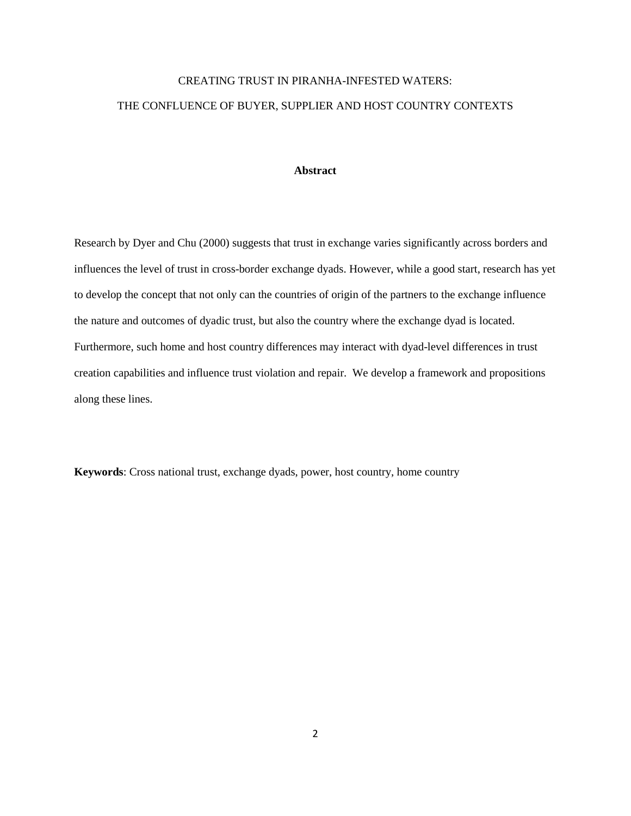# CREATING TRUST IN PIRANHA-INFESTED WATERS: THE CONFLUENCE OF BUYER, SUPPLIER AND HOST COUNTRY CONTEXTS

### **Abstract**

Research by Dyer and Chu (2000) suggests that trust in exchange varies significantly across borders and influences the level of trust in cross-border exchange dyads. However, while a good start, research has yet to develop the concept that not only can the countries of origin of the partners to the exchange influence the nature and outcomes of dyadic trust, but also the country where the exchange dyad is located. Furthermore, such home and host country differences may interact with dyad-level differences in trust creation capabilities and influence trust violation and repair. We develop a framework and propositions along these lines.

**Keywords**: Cross national trust, exchange dyads, power, host country, home country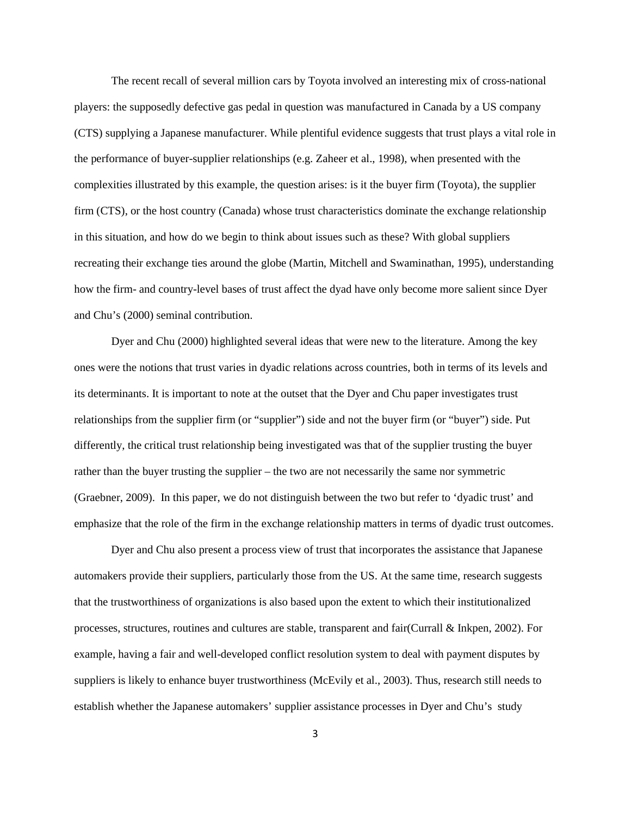The recent recall of several million cars by Toyota involved an interesting mix of cross-national players: the supposedly defective gas pedal in question was manufactured in Canada by a US company (CTS) supplying a Japanese manufacturer. While plentiful evidence suggests that trust plays a vital role in the performance of buyer-supplier relationships (e.g. Zaheer et al., 1998), when presented with the complexities illustrated by this example, the question arises: is it the buyer firm (Toyota), the supplier firm (CTS), or the host country (Canada) whose trust characteristics dominate the exchange relationship in this situation, and how do we begin to think about issues such as these? With global suppliers recreating their exchange ties around the globe (Martin, Mitchell and Swaminathan, 1995), understanding how the firm- and country-level bases of trust affect the dyad have only become more salient since Dyer and Chu's (2000) seminal contribution.

Dyer and Chu (2000) highlighted several ideas that were new to the literature. Among the key ones were the notions that trust varies in dyadic relations across countries, both in terms of its levels and its determinants. It is important to note at the outset that the Dyer and Chu paper investigates trust relationships from the supplier firm (or "supplier") side and not the buyer firm (or "buyer") side. Put differently, the critical trust relationship being investigated was that of the supplier trusting the buyer rather than the buyer trusting the supplier – the two are not necessarily the same nor symmetric (Graebner, 2009). In this paper, we do not distinguish between the two but refer to 'dyadic trust' and emphasize that the role of the firm in the exchange relationship matters in terms of dyadic trust outcomes.

Dyer and Chu also present a process view of trust that incorporates the assistance that Japanese automakers provide their suppliers, particularly those from the US. At the same time, research suggests that the trustworthiness of organizations is also based upon the extent to which their institutionalized processes, structures, routines and cultures are stable, transparent and fair(Currall & Inkpen, 2002). For example, having a fair and well-developed conflict resolution system to deal with payment disputes by suppliers is likely to enhance buyer trustworthiness (McEvily et al., 2003). Thus, research still needs to establish whether the Japanese automakers' supplier assistance processes in Dyer and Chu's study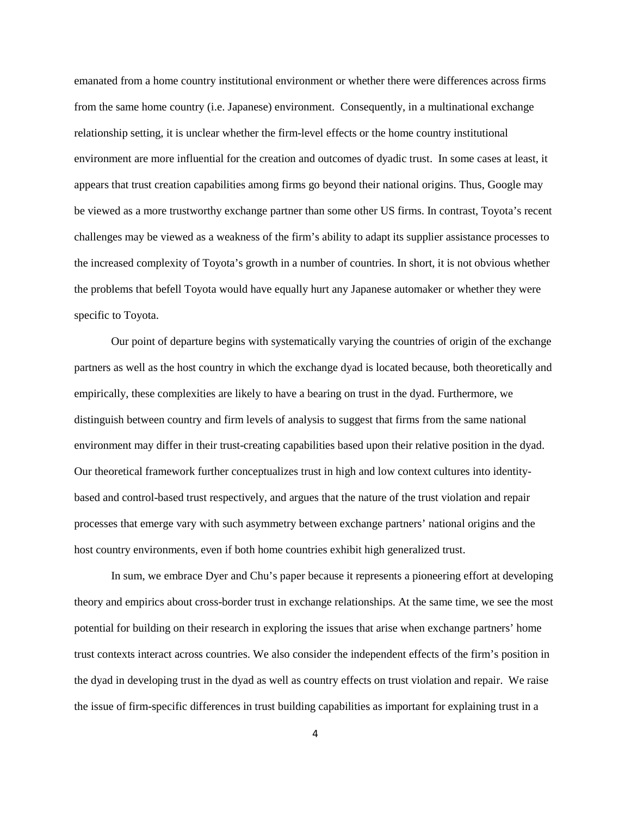emanated from a home country institutional environment or whether there were differences across firms from the same home country (i.e. Japanese) environment. Consequently, in a multinational exchange relationship setting, it is unclear whether the firm-level effects or the home country institutional environment are more influential for the creation and outcomes of dyadic trust. In some cases at least, it appears that trust creation capabilities among firms go beyond their national origins. Thus, Google may be viewed as a more trustworthy exchange partner than some other US firms. In contrast, Toyota's recent challenges may be viewed as a weakness of the firm's ability to adapt its supplier assistance processes to the increased complexity of Toyota's growth in a number of countries. In short, it is not obvious whether the problems that befell Toyota would have equally hurt any Japanese automaker or whether they were specific to Toyota.

Our point of departure begins with systematically varying the countries of origin of the exchange partners as well as the host country in which the exchange dyad is located because, both theoretically and empirically, these complexities are likely to have a bearing on trust in the dyad. Furthermore, we distinguish between country and firm levels of analysis to suggest that firms from the same national environment may differ in their trust-creating capabilities based upon their relative position in the dyad. Our theoretical framework further conceptualizes trust in high and low context cultures into identitybased and control-based trust respectively, and argues that the nature of the trust violation and repair processes that emerge vary with such asymmetry between exchange partners' national origins and the host country environments, even if both home countries exhibit high generalized trust.

In sum, we embrace Dyer and Chu's paper because it represents a pioneering effort at developing theory and empirics about cross-border trust in exchange relationships. At the same time, we see the most potential for building on their research in exploring the issues that arise when exchange partners' home trust contexts interact across countries. We also consider the independent effects of the firm's position in the dyad in developing trust in the dyad as well as country effects on trust violation and repair. We raise the issue of firm-specific differences in trust building capabilities as important for explaining trust in a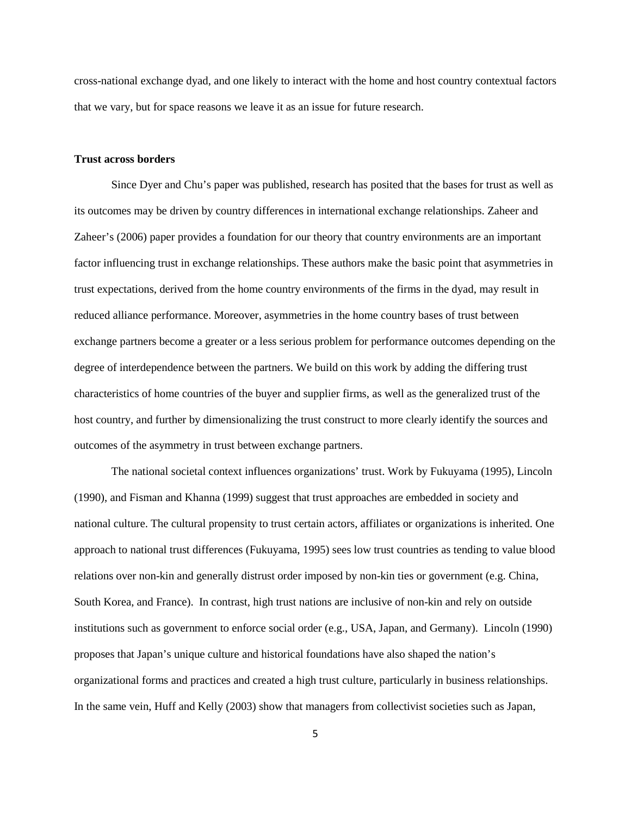cross-national exchange dyad, and one likely to interact with the home and host country contextual factors that we vary, but for space reasons we leave it as an issue for future research.

### **Trust across borders**

Since Dyer and Chu's paper was published, research has posited that the bases for trust as well as its outcomes may be driven by country differences in international exchange relationships. Zaheer and Zaheer's (2006) paper provides a foundation for our theory that country environments are an important factor influencing trust in exchange relationships. These authors make the basic point that asymmetries in trust expectations, derived from the home country environments of the firms in the dyad, may result in reduced alliance performance. Moreover, asymmetries in the home country bases of trust between exchange partners become a greater or a less serious problem for performance outcomes depending on the degree of interdependence between the partners. We build on this work by adding the differing trust characteristics of home countries of the buyer and supplier firms, as well as the generalized trust of the host country, and further by dimensionalizing the trust construct to more clearly identify the sources and outcomes of the asymmetry in trust between exchange partners.

The national societal context influences organizations' trust. Work by Fukuyama (1995), Lincoln (1990), and Fisman and Khanna (1999) suggest that trust approaches are embedded in society and national culture. The cultural propensity to trust certain actors, affiliates or organizations is inherited. One approach to national trust differences (Fukuyama, 1995) sees low trust countries as tending to value blood relations over non-kin and generally distrust order imposed by non-kin ties or government (e.g. China, South Korea, and France). In contrast, high trust nations are inclusive of non-kin and rely on outside institutions such as government to enforce social order (e.g., USA, Japan, and Germany). Lincoln (1990) proposes that Japan's unique culture and historical foundations have also shaped the nation's organizational forms and practices and created a high trust culture, particularly in business relationships. In the same vein, Huff and Kelly (2003) show that managers from collectivist societies such as Japan,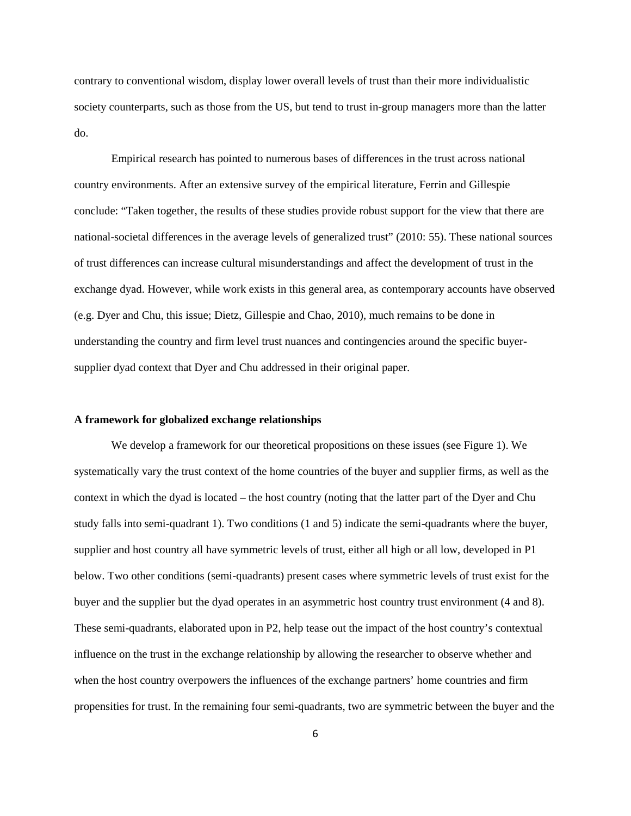contrary to conventional wisdom, display lower overall levels of trust than their more individualistic society counterparts, such as those from the US, but tend to trust in-group managers more than the latter do.

Empirical research has pointed to numerous bases of differences in the trust across national country environments. After an extensive survey of the empirical literature, Ferrin and Gillespie conclude: "Taken together, the results of these studies provide robust support for the view that there are national-societal differences in the average levels of generalized trust" (2010: 55). These national sources of trust differences can increase cultural misunderstandings and affect the development of trust in the exchange dyad. However, while work exists in this general area, as contemporary accounts have observed (e.g. Dyer and Chu, this issue; Dietz, Gillespie and Chao, 2010), much remains to be done in understanding the country and firm level trust nuances and contingencies around the specific buyersupplier dyad context that Dyer and Chu addressed in their original paper.

### **A framework for globalized exchange relationships**

We develop a framework for our theoretical propositions on these issues (see Figure 1). We systematically vary the trust context of the home countries of the buyer and supplier firms, as well as the context in which the dyad is located – the host country (noting that the latter part of the Dyer and Chu study falls into semi-quadrant 1). Two conditions (1 and 5) indicate the semi-quadrants where the buyer, supplier and host country all have symmetric levels of trust, either all high or all low, developed in P1 below. Two other conditions (semi-quadrants) present cases where symmetric levels of trust exist for the buyer and the supplier but the dyad operates in an asymmetric host country trust environment (4 and 8). These semi-quadrants, elaborated upon in P2, help tease out the impact of the host country's contextual influence on the trust in the exchange relationship by allowing the researcher to observe whether and when the host country overpowers the influences of the exchange partners' home countries and firm propensities for trust. In the remaining four semi-quadrants, two are symmetric between the buyer and the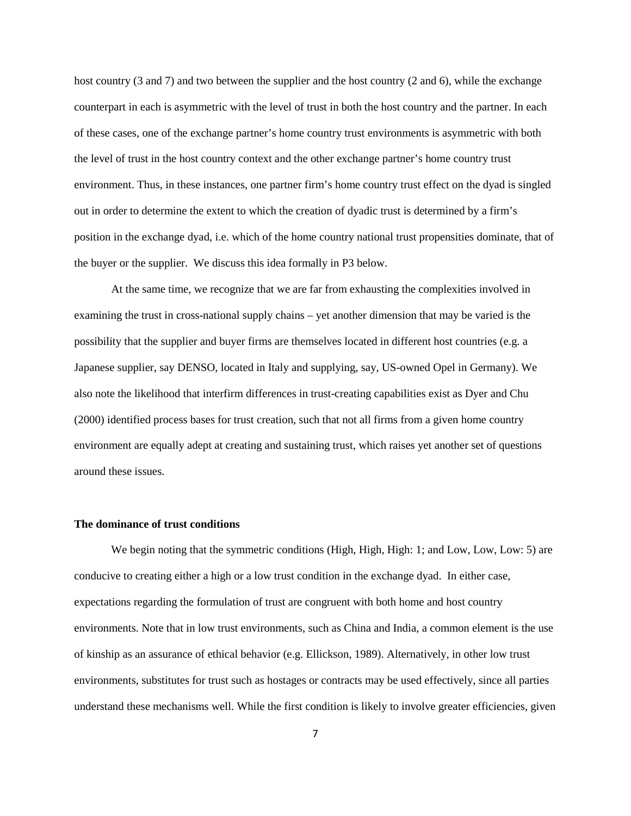host country (3 and 7) and two between the supplier and the host country (2 and 6), while the exchange counterpart in each is asymmetric with the level of trust in both the host country and the partner. In each of these cases, one of the exchange partner's home country trust environments is asymmetric with both the level of trust in the host country context and the other exchange partner's home country trust environment. Thus, in these instances, one partner firm's home country trust effect on the dyad is singled out in order to determine the extent to which the creation of dyadic trust is determined by a firm's position in the exchange dyad, i.e. which of the home country national trust propensities dominate, that of the buyer or the supplier. We discuss this idea formally in P3 below.

At the same time, we recognize that we are far from exhausting the complexities involved in examining the trust in cross-national supply chains – yet another dimension that may be varied is the possibility that the supplier and buyer firms are themselves located in different host countries (e.g. a Japanese supplier, say DENSO, located in Italy and supplying, say, US-owned Opel in Germany). We also note the likelihood that interfirm differences in trust-creating capabilities exist as Dyer and Chu (2000) identified process bases for trust creation, such that not all firms from a given home country environment are equally adept at creating and sustaining trust, which raises yet another set of questions around these issues.

### **The dominance of trust conditions**

We begin noting that the symmetric conditions (High, High, High: 1; and Low, Low, Low: 5) are conducive to creating either a high or a low trust condition in the exchange dyad. In either case, expectations regarding the formulation of trust are congruent with both home and host country environments. Note that in low trust environments, such as China and India, a common element is the use of kinship as an assurance of ethical behavior (e.g. Ellickson, 1989). Alternatively, in other low trust environments, substitutes for trust such as hostages or contracts may be used effectively, since all parties understand these mechanisms well. While the first condition is likely to involve greater efficiencies, given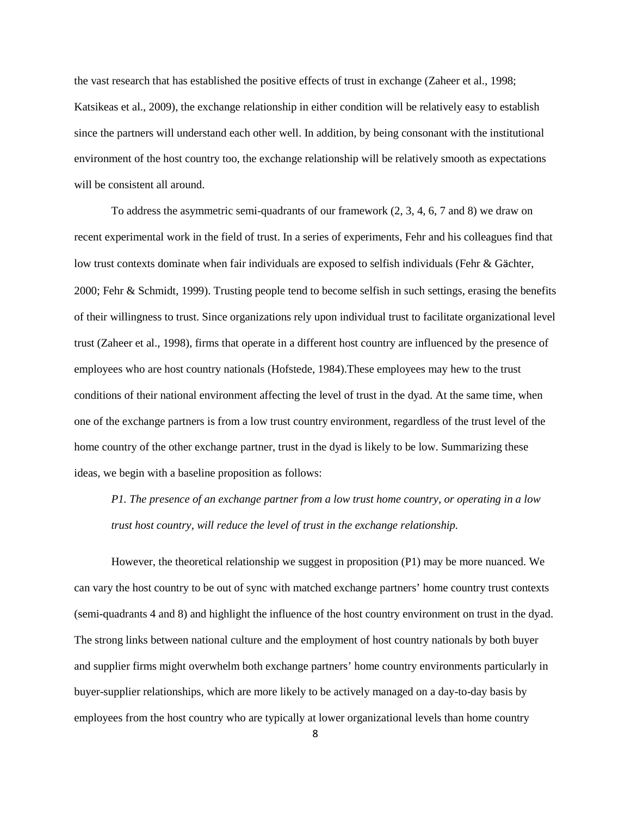the vast research that has established the positive effects of trust in exchange (Zaheer et al., 1998; Katsikeas et al., 2009), the exchange relationship in either condition will be relatively easy to establish since the partners will understand each other well. In addition, by being consonant with the institutional environment of the host country too, the exchange relationship will be relatively smooth as expectations will be consistent all around.

To address the asymmetric semi-quadrants of our framework (2, 3, 4, 6, 7 and 8) we draw on recent experimental work in the field of trust. In a series of experiments, Fehr and his colleagues find that low trust contexts dominate when fair individuals are exposed to selfish individuals (Fehr & Gächter, 2000; Fehr & Schmidt, 1999). Trusting people tend to become selfish in such settings, erasing the benefits of their willingness to trust. Since organizations rely upon individual trust to facilitate organizational level trust (Zaheer et al., 1998), firms that operate in a different host country are influenced by the presence of employees who are host country nationals (Hofstede, 1984).These employees may hew to the trust conditions of their national environment affecting the level of trust in the dyad. At the same time, when one of the exchange partners is from a low trust country environment, regardless of the trust level of the home country of the other exchange partner, trust in the dyad is likely to be low. Summarizing these ideas, we begin with a baseline proposition as follows:

*P1. The presence of an exchange partner from a low trust home country, or operating in a low trust host country, will reduce the level of trust in the exchange relationship.* 

However, the theoretical relationship we suggest in proposition (P1) may be more nuanced. We can vary the host country to be out of sync with matched exchange partners' home country trust contexts (semi-quadrants 4 and 8) and highlight the influence of the host country environment on trust in the dyad. The strong links between national culture and the employment of host country nationals by both buyer and supplier firms might overwhelm both exchange partners' home country environments particularly in buyer-supplier relationships, which are more likely to be actively managed on a day-to-day basis by employees from the host country who are typically at lower organizational levels than home country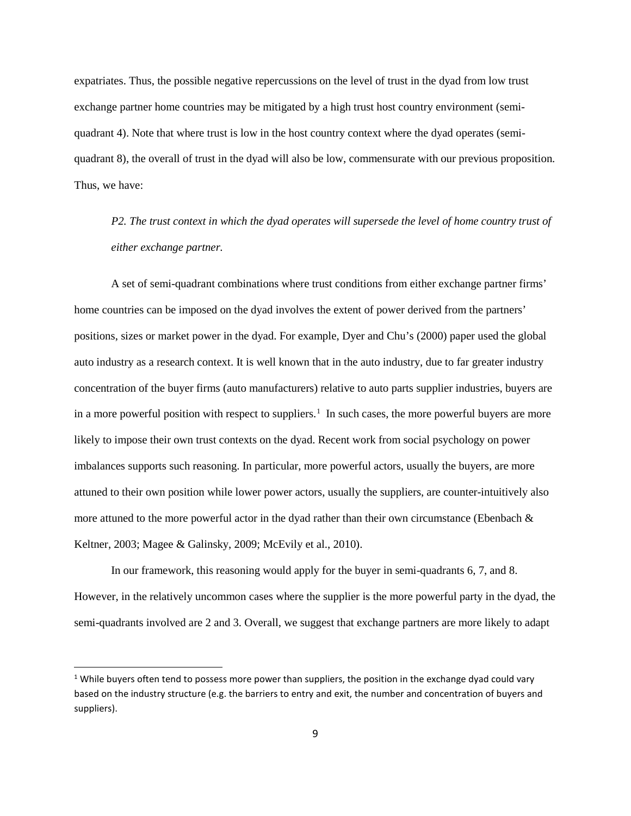expatriates. Thus, the possible negative repercussions on the level of trust in the dyad from low trust exchange partner home countries may be mitigated by a high trust host country environment (semiquadrant 4). Note that where trust is low in the host country context where the dyad operates (semiquadrant 8), the overall of trust in the dyad will also be low, commensurate with our previous proposition. Thus, we have:

*P2. The trust context in which the dyad operates will supersede the level of home country trust of either exchange partner.* 

A set of semi-quadrant combinations where trust conditions from either exchange partner firms' home countries can be imposed on the dyad involves the extent of power derived from the partners' positions, sizes or market power in the dyad. For example, Dyer and Chu's (2000) paper used the global auto industry as a research context. It is well known that in the auto industry, due to far greater industry concentration of the buyer firms (auto manufacturers) relative to auto parts supplier industries, buyers are in a more powerful position with respect to suppliers.<sup>[1](#page-10-0)</sup> In such cases, the more powerful buyers are more likely to impose their own trust contexts on the dyad. Recent work from social psychology on power imbalances supports such reasoning. In particular, more powerful actors, usually the buyers, are more attuned to their own position while lower power actors, usually the suppliers, are counter-intuitively also more attuned to the more powerful actor in the dyad rather than their own circumstance (Ebenbach  $\&$ Keltner, 2003; Magee & Galinsky, 2009; McEvily et al., 2010).

In our framework, this reasoning would apply for the buyer in semi-quadrants 6, 7, and 8. However, in the relatively uncommon cases where the supplier is the more powerful party in the dyad, the semi-quadrants involved are 2 and 3. Overall, we suggest that exchange partners are more likely to adapt

<span id="page-10-0"></span><sup>&</sup>lt;sup>1</sup> While buyers often tend to possess more power than suppliers, the position in the exchange dyad could vary based on the industry structure (e.g. the barriers to entry and exit, the number and concentration of buyers and suppliers).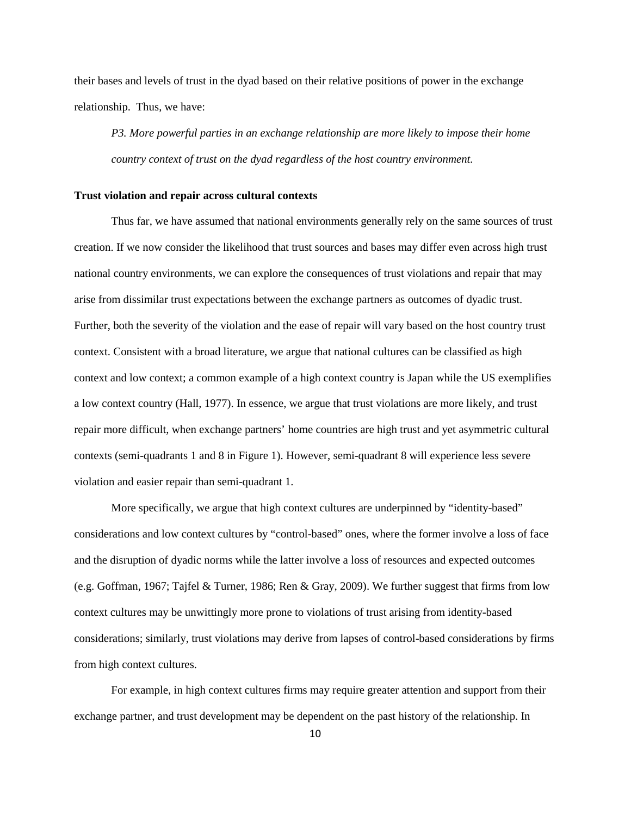their bases and levels of trust in the dyad based on their relative positions of power in the exchange relationship. Thus, we have:

*P3. More powerful parties in an exchange relationship are more likely to impose their home country context of trust on the dyad regardless of the host country environment.* 

#### **Trust violation and repair across cultural contexts**

Thus far, we have assumed that national environments generally rely on the same sources of trust creation. If we now consider the likelihood that trust sources and bases may differ even across high trust national country environments, we can explore the consequences of trust violations and repair that may arise from dissimilar trust expectations between the exchange partners as outcomes of dyadic trust. Further, both the severity of the violation and the ease of repair will vary based on the host country trust context. Consistent with a broad literature, we argue that national cultures can be classified as high context and low context; a common example of a high context country is Japan while the US exemplifies a low context country (Hall, 1977). In essence, we argue that trust violations are more likely, and trust repair more difficult, when exchange partners' home countries are high trust and yet asymmetric cultural contexts (semi-quadrants 1 and 8 in Figure 1). However, semi-quadrant 8 will experience less severe violation and easier repair than semi-quadrant 1.

More specifically, we argue that high context cultures are underpinned by "identity-based" considerations and low context cultures by "control-based" ones, where the former involve a loss of face and the disruption of dyadic norms while the latter involve a loss of resources and expected outcomes (e.g. Goffman, 1967; Tajfel & Turner, 1986; Ren & Gray, 2009). We further suggest that firms from low context cultures may be unwittingly more prone to violations of trust arising from identity-based considerations; similarly, trust violations may derive from lapses of control-based considerations by firms from high context cultures.

For example, in high context cultures firms may require greater attention and support from their exchange partner, and trust development may be dependent on the past history of the relationship. In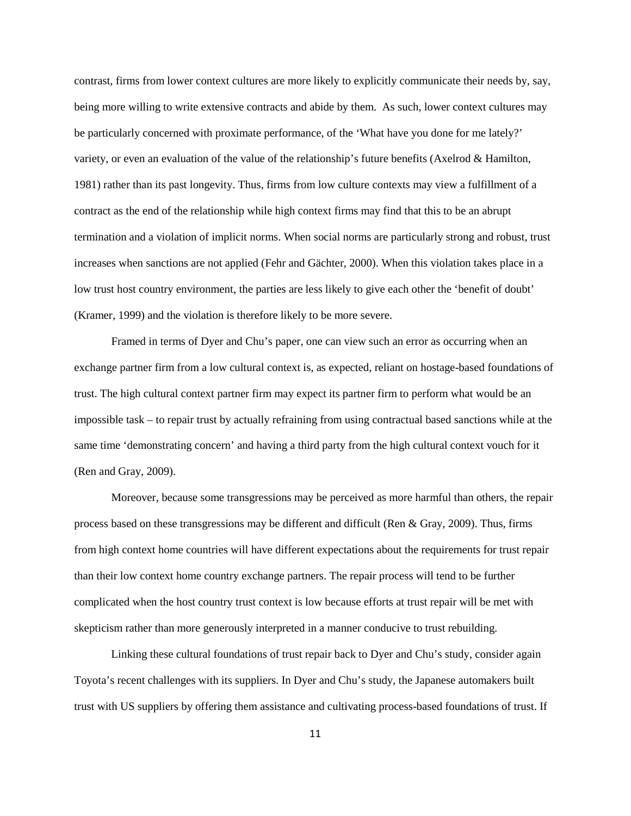contrast, firms from lower context cultures are more likely to explicitly communicate their needs by, say, being more willing to write extensive contracts and abide by them. As such, lower context cultures may be particularly concerned with proximate performance, of the 'What have you done for me lately?' variety, or even an evaluation of the value of the relationship's future benefits (Axelrod & Hamilton, 1981) rather than its past longevity. Thus, firms from low culture contexts may view a fulfillment of a contract as the end of the relationship while high context firms may find that this to be an abrupt termination and a violation of implicit norms. When social norms are particularly strong and robust, trust increases when sanctions are not applied (Fehr and Gächter, 2000). When this violation takes place in a low trust host country environment, the parties are less likely to give each other the 'benefit of doubt' (Kramer, 1999) and the violation is therefore likely to be more severe.

Framed in terms of Dyer and Chu's paper, one can view such an error as occurring when an exchange partner firm from a low cultural context is, as expected, reliant on hostage-based foundations of trust. The high cultural context partner firm may expect its partner firm to perform what would be an impossible task – to repair trust by actually refraining from using contractual based sanctions while at the same time 'demonstrating concern' and having a third party from the high cultural context vouch for it (Ren and Gray, 2009).

Moreover, because some transgressions may be perceived as more harmful than others, the repair process based on these transgressions may be different and difficult (Ren & Gray, 2009). Thus, firms from high context home countries will have different expectations about the requirements for trust repair than their low context home country exchange partners. The repair process will tend to be further complicated when the host country trust context is low because efforts at trust repair will be met with skepticism rather than more generously interpreted in a manner conducive to trust rebuilding.

Linking these cultural foundations of trust repair back to Dyer and Chu's study, consider again Toyota's recent challenges with its suppliers. In Dyer and Chu's study, the Japanese automakers built trust with US suppliers by offering them assistance and cultivating process-based foundations of trust. If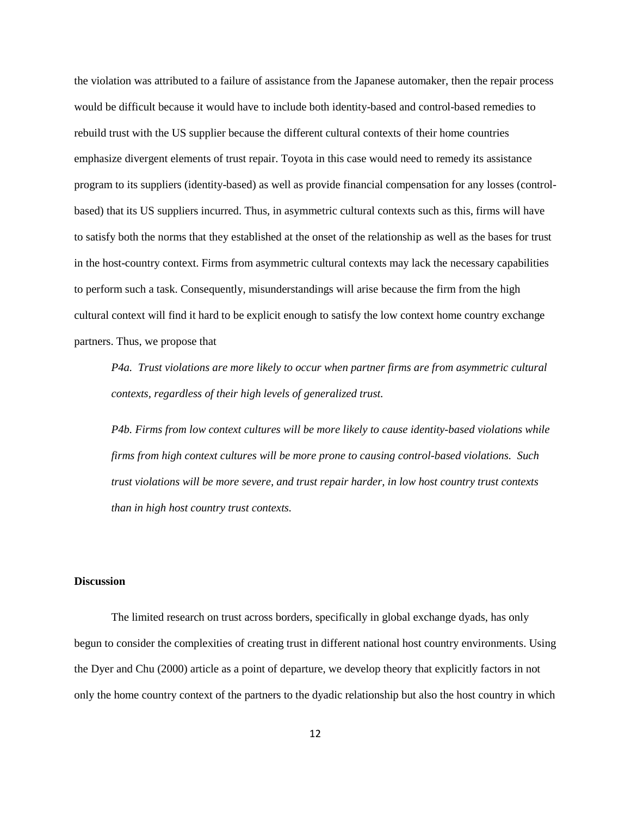the violation was attributed to a failure of assistance from the Japanese automaker, then the repair process would be difficult because it would have to include both identity-based and control-based remedies to rebuild trust with the US supplier because the different cultural contexts of their home countries emphasize divergent elements of trust repair. Toyota in this case would need to remedy its assistance program to its suppliers (identity-based) as well as provide financial compensation for any losses (controlbased) that its US suppliers incurred. Thus, in asymmetric cultural contexts such as this, firms will have to satisfy both the norms that they established at the onset of the relationship as well as the bases for trust in the host-country context. Firms from asymmetric cultural contexts may lack the necessary capabilities to perform such a task. Consequently, misunderstandings will arise because the firm from the high cultural context will find it hard to be explicit enough to satisfy the low context home country exchange partners. Thus, we propose that

*P4a. Trust violations are more likely to occur when partner firms are from asymmetric cultural contexts, regardless of their high levels of generalized trust.*

*P4b. Firms from low context cultures will be more likely to cause identity-based violations while firms from high context cultures will be more prone to causing control-based violations. Such trust violations will be more severe, and trust repair harder, in low host country trust contexts than in high host country trust contexts.*

### **Discussion**

The limited research on trust across borders, specifically in global exchange dyads, has only begun to consider the complexities of creating trust in different national host country environments. Using the Dyer and Chu (2000) article as a point of departure, we develop theory that explicitly factors in not only the home country context of the partners to the dyadic relationship but also the host country in which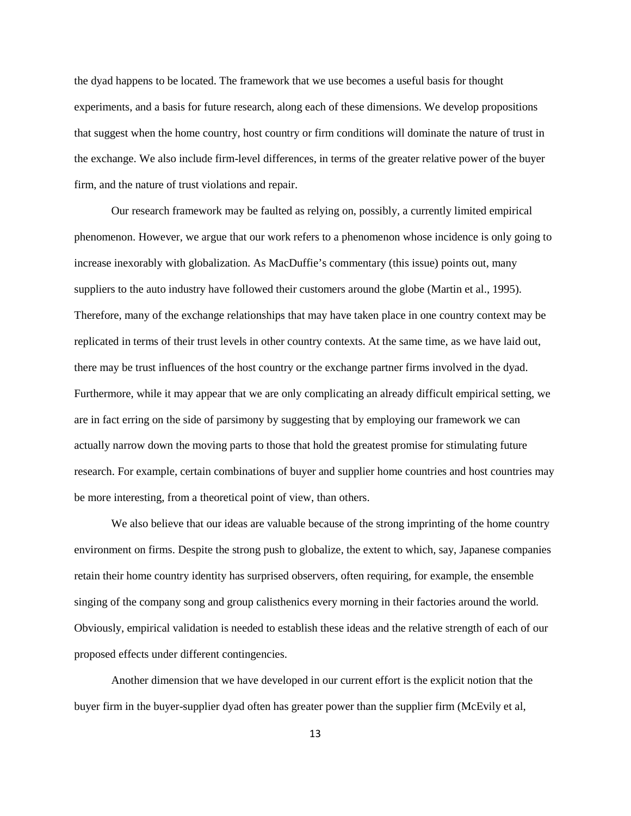the dyad happens to be located. The framework that we use becomes a useful basis for thought experiments, and a basis for future research, along each of these dimensions. We develop propositions that suggest when the home country, host country or firm conditions will dominate the nature of trust in the exchange. We also include firm-level differences, in terms of the greater relative power of the buyer firm, and the nature of trust violations and repair.

 Our research framework may be faulted as relying on, possibly, a currently limited empirical phenomenon. However, we argue that our work refers to a phenomenon whose incidence is only going to increase inexorably with globalization. As MacDuffie's commentary (this issue) points out, many suppliers to the auto industry have followed their customers around the globe (Martin et al., 1995). Therefore, many of the exchange relationships that may have taken place in one country context may be replicated in terms of their trust levels in other country contexts. At the same time, as we have laid out, there may be trust influences of the host country or the exchange partner firms involved in the dyad. Furthermore, while it may appear that we are only complicating an already difficult empirical setting, we are in fact erring on the side of parsimony by suggesting that by employing our framework we can actually narrow down the moving parts to those that hold the greatest promise for stimulating future research. For example, certain combinations of buyer and supplier home countries and host countries may be more interesting, from a theoretical point of view, than others.

We also believe that our ideas are valuable because of the strong imprinting of the home country environment on firms. Despite the strong push to globalize, the extent to which, say, Japanese companies retain their home country identity has surprised observers, often requiring, for example, the ensemble singing of the company song and group calisthenics every morning in their factories around the world. Obviously, empirical validation is needed to establish these ideas and the relative strength of each of our proposed effects under different contingencies.

Another dimension that we have developed in our current effort is the explicit notion that the buyer firm in the buyer-supplier dyad often has greater power than the supplier firm (McEvily et al,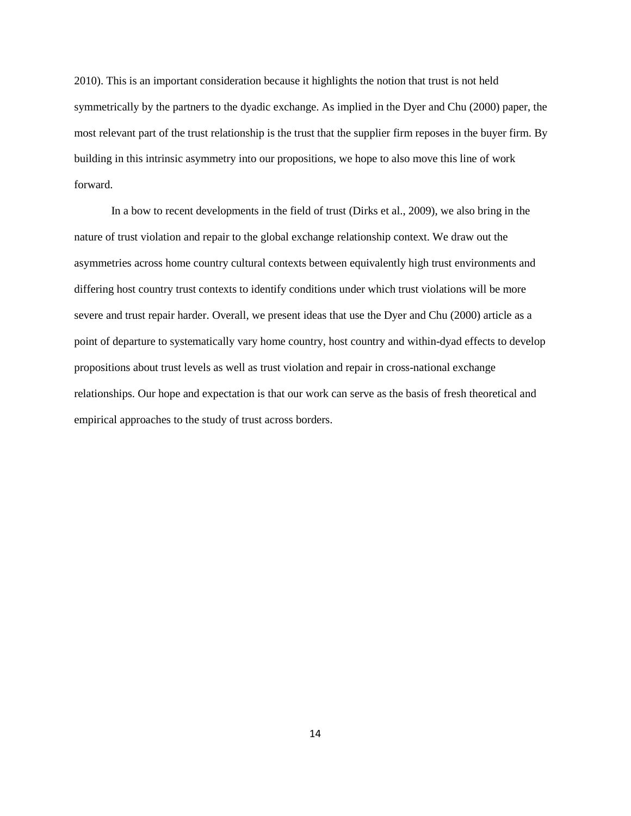2010). This is an important consideration because it highlights the notion that trust is not held symmetrically by the partners to the dyadic exchange. As implied in the Dyer and Chu (2000) paper, the most relevant part of the trust relationship is the trust that the supplier firm reposes in the buyer firm. By building in this intrinsic asymmetry into our propositions, we hope to also move this line of work forward.

In a bow to recent developments in the field of trust (Dirks et al., 2009), we also bring in the nature of trust violation and repair to the global exchange relationship context. We draw out the asymmetries across home country cultural contexts between equivalently high trust environments and differing host country trust contexts to identify conditions under which trust violations will be more severe and trust repair harder. Overall, we present ideas that use the Dyer and Chu (2000) article as a point of departure to systematically vary home country, host country and within-dyad effects to develop propositions about trust levels as well as trust violation and repair in cross-national exchange relationships. Our hope and expectation is that our work can serve as the basis of fresh theoretical and empirical approaches to the study of trust across borders.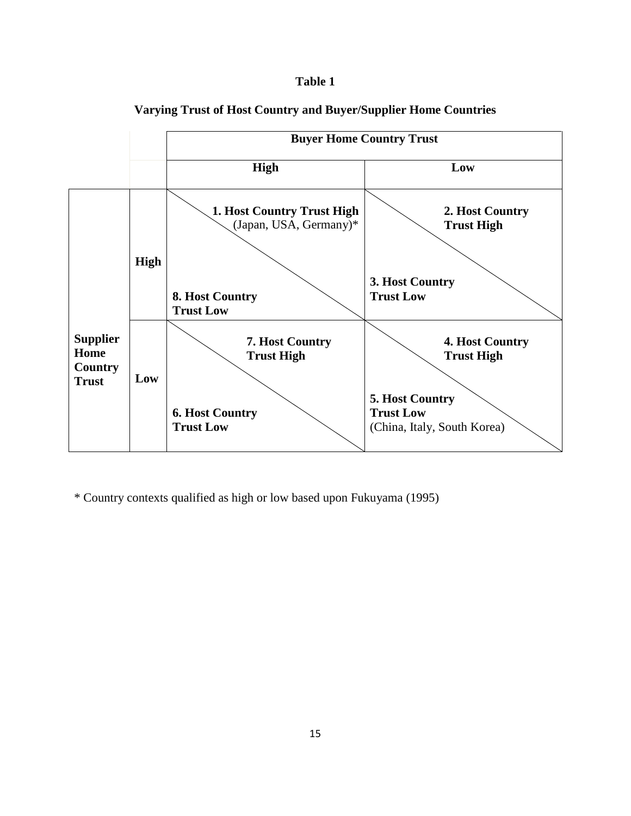# **Table 1**



### **Varying Trust of Host Country and Buyer/Supplier Home Countries**

\* Country contexts qualified as high or low based upon Fukuyama (1995)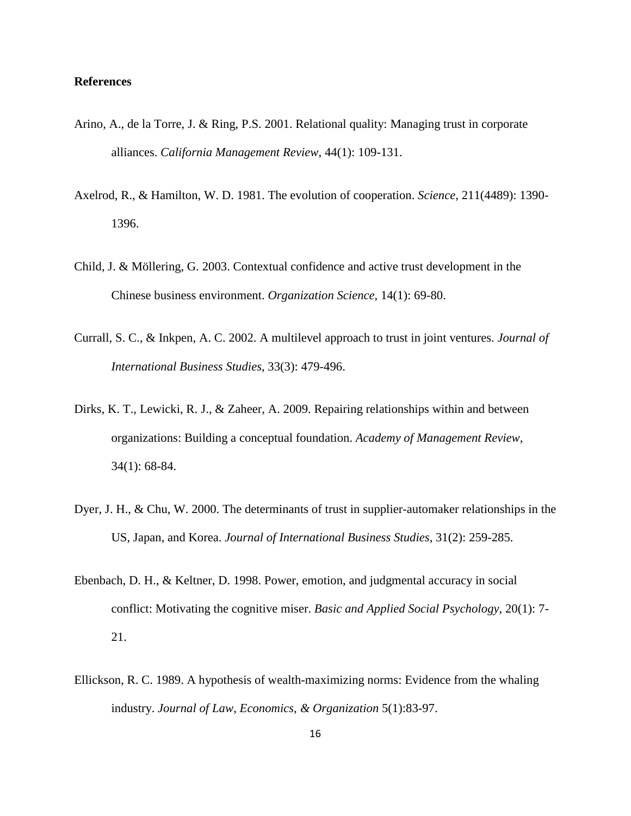### **References**

- Arino, A., de la Torre, J. & Ring, P.S. 2001. Relational quality: Managing trust in corporate alliances. *California Management Review*, 44(1): 109-131.
- Axelrod, R., & Hamilton, W. D. 1981. The evolution of cooperation. *Science*, 211(4489): 1390- 1396.
- Child, J. & Möllering, G. 2003. Contextual confidence and active trust development in the Chinese business environment. *Organization Science*, 14(1): 69-80.
- Currall, S. C., & Inkpen, A. C. 2002. A multilevel approach to trust in joint ventures. *Journal of International Business Studies*, 33(3): 479-496.
- Dirks, K. T., Lewicki, R. J., & Zaheer, A. 2009. Repairing relationships within and between organizations: Building a conceptual foundation. *Academy of Management Review*, 34(1): 68-84.
- Dyer, J. H., & Chu, W. 2000. The determinants of trust in supplier-automaker relationships in the US, Japan, and Korea. *Journal of International Business Studies*, 31(2): 259-285.
- Ebenbach, D. H., & Keltner, D. 1998. Power, emotion, and judgmental accuracy in social conflict: Motivating the cognitive miser. *Basic and Applied Social Psychology*, 20(1): 7- 21.
- Ellickson, R. C. 1989. A hypothesis of wealth-maximizing norms: Evidence from the whaling industry. *Journal of Law, Economics, & Organization* 5(1):83-97.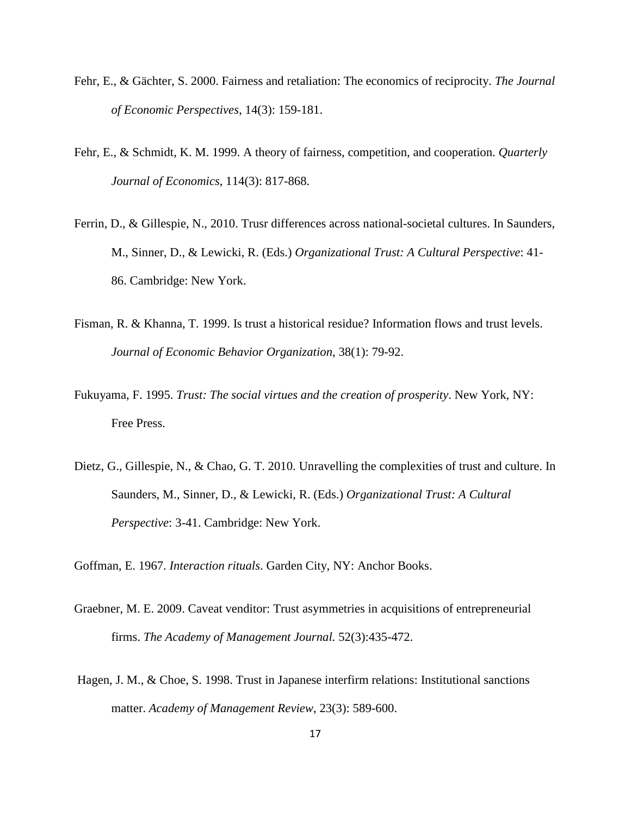- Fehr, E., & Gächter, S. 2000. Fairness and retaliation: The economics of reciprocity. *The Journal of Economic Perspectives*, 14(3): 159-181.
- Fehr, E., & Schmidt, K. M. 1999. A theory of fairness, competition, and cooperation. *Quarterly Journal of Economics*, 114(3): 817-868.
- Ferrin, D., & Gillespie, N., 2010. Trusr differences across national-societal cultures. In Saunders, M., Sinner, D., & Lewicki, R. (Eds.) *Organizational Trust: A Cultural Perspective*: 41- 86. Cambridge: New York.
- Fisman, R. & Khanna, T. 1999. Is trust a historical residue? Information flows and trust levels. *Journal of Economic Behavior Organization*, 38(1): 79-92.
- Fukuyama, F. 1995. *Trust: The social virtues and the creation of prosperity*. New York, NY: Free Press.
- Dietz, G., Gillespie, N., & Chao, G. T. 2010. Unravelling the complexities of trust and culture. In Saunders, M., Sinner, D., & Lewicki, R. (Eds.) *Organizational Trust: A Cultural Perspective*: 3-41. Cambridge: New York.

Goffman, E. 1967. *Interaction rituals*. Garden City, NY: Anchor Books.

- Graebner, M. E. 2009. Caveat venditor: Trust asymmetries in acquisitions of entrepreneurial firms. *The Academy of Management Journal.* 52(3):435-472.
- Hagen, J. M., & Choe, S. 1998. Trust in Japanese interfirm relations: Institutional sanctions matter. *Academy of Management Review*, 23(3): 589-600.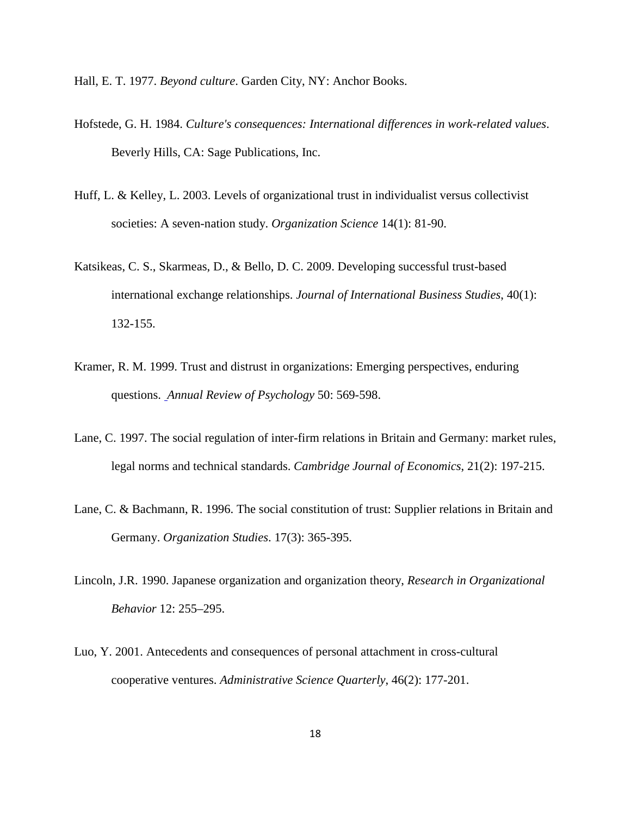Hall, E. T. 1977. *Beyond culture*. Garden City, NY: Anchor Books.

- Hofstede, G. H. 1984. *Culture's consequences: International differences in work-related values*. Beverly Hills, CA: Sage Publications, Inc.
- Huff, L. & Kelley, L. 2003. Levels of organizational trust in individualist versus collectivist societies: A seven-nation study. *Organization Science* 14(1): 81-90.
- Katsikeas, C. S., Skarmeas, D., & Bello, D. C. 2009. Developing successful trust-based international exchange relationships. *Journal of International Business Studies*, 40(1): 132-155.
- Kramer, R. M. 1999. Trust and distrust in organizations: Emerging perspectives, enduring questions. *Annual Review of Psychology* 50: 569-598.
- Lane, C. 1997. The social regulation of inter-firm relations in Britain and Germany: market rules, legal norms and technical standards. *Cambridge Journal of Economics*, 21(2): 197-215.
- Lane, C. & Bachmann, R. 1996. The social constitution of trust: Supplier relations in Britain and Germany. *Organization Studies*. 17(3): 365-395.
- Lincoln, J.R. 1990. Japanese organization and organization theory, *Research in Organizational Behavior* 12: 255–295.
- Luo, Y. 2001. Antecedents and consequences of personal attachment in cross-cultural cooperative ventures. *Administrative Science Quarterly*, 46(2): 177-201.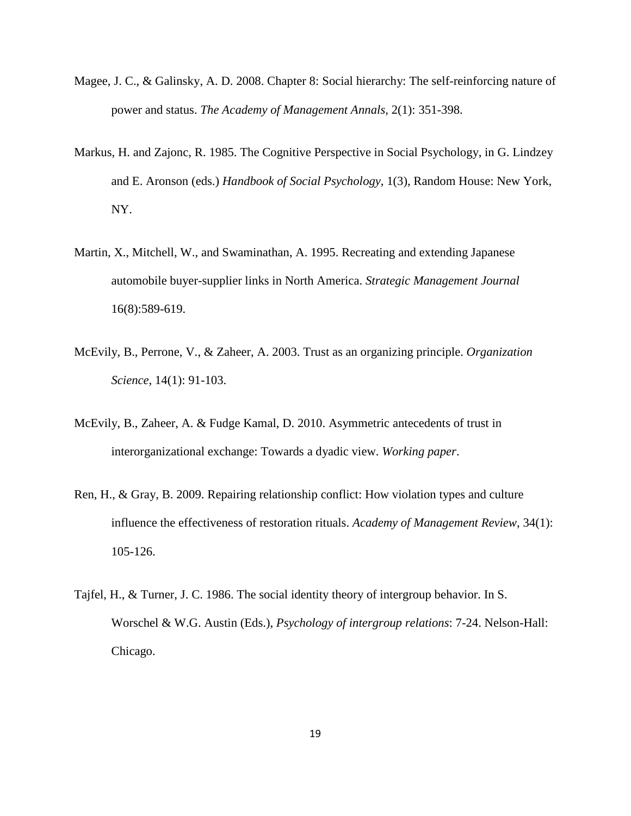- Magee, J. C., & Galinsky, A. D. 2008. Chapter 8: Social hierarchy: The self-reinforcing nature of power and status. *The Academy of Management Annals*, 2(1): 351-398.
- Markus, H. and Zajonc, R. 1985. The Cognitive Perspective in Social Psychology, in G. Lindzey and E. Aronson (eds.) *Handbook of Social Psychology*, 1(3), Random House: New York, NY.
- Martin, X., Mitchell, W., and Swaminathan, A. 1995. Recreating and extending Japanese automobile buyer-supplier links in North America. *Strategic Management Journal* 16(8):589-619.
- McEvily, B., Perrone, V., & Zaheer, A. 2003. Trust as an organizing principle. *Organization Science*, 14(1): 91-103.
- McEvily, B., Zaheer, A. & Fudge Kamal, D. 2010. Asymmetric antecedents of trust in interorganizational exchange: Towards a dyadic view. *Working paper*.
- Ren, H., & Gray, B. 2009. Repairing relationship conflict: How violation types and culture influence the effectiveness of restoration rituals. *Academy of Management Review*, 34(1): 105-126.
- Tajfel, H., & Turner, J. C. 1986. The social identity theory of intergroup behavior. In S. Worschel & W.G. Austin (Eds.), *Psychology of intergroup relations*: 7-24. Nelson-Hall: Chicago.